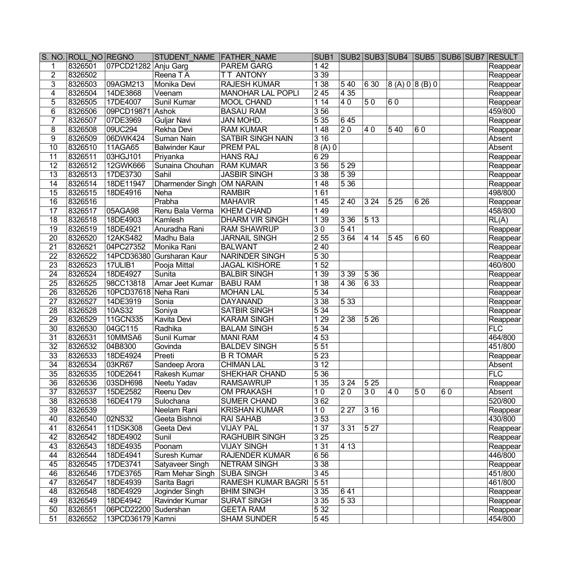|                 | S. NO. ROLL NO REGNO |                      | STUDENT NAME FATHER NAME   |                          | SUB <sub>1</sub> |                  |                  | <b>SUB2 SUB3 SUB4</b> | SUB <sub>5</sub> |    | <b>SUB6 SUB7 RESULT</b> |
|-----------------|----------------------|----------------------|----------------------------|--------------------------|------------------|------------------|------------------|-----------------------|------------------|----|-------------------------|
| 1               | 8326501              | 07PCD21282           | Anju Garg                  | <b>PAREM GARG</b>        | 142              |                  |                  |                       |                  |    | Reappear                |
| $\overline{2}$  | 8326502              |                      | Reena TA                   | <b>TT ANTONY</b>         | 339              |                  |                  |                       |                  |    | Reappear                |
| $\overline{3}$  | 8326503              | 09AGM213             | Monika Devi                | <b>RAJESH KUMAR</b>      | 138              | 540              | 6 30             | 8(A) 0 8(B) 0         |                  |    | Reappear                |
| $\overline{4}$  | 8326504              | 14DE3868             | Veenam                     | <b>MANOHAR LAL POPLI</b> | 245              | 435              |                  |                       |                  |    | Reappear                |
| $\overline{5}$  | 8326505              | 17DE4007             | Sunil Kumar                | <b>MOOL CHAND</b>        | 114              | 40               | 50               | 60                    |                  |    | Reappear                |
| $\overline{6}$  | 8326506              | 09PCD19871           | Ashok                      | <b>BASAU RAM</b>         | 356              |                  |                  |                       |                  |    | 459/800                 |
| $\overline{7}$  | 8326507              | 07DE3969             | <b>Guljar Navi</b>         | <b>JAN MOHD.</b>         | $\overline{535}$ | 645              |                  |                       |                  |    | Reappear                |
| 8               | 8326508              | 09UC294              | Rekha Devi                 | <b>RAM KUMAR</b>         | $\overline{148}$ | $\overline{20}$  | 40               | 540                   | 60               |    | Reappear                |
| $\overline{9}$  | 8326509              | 06DWK424             | Suman Nain                 | <b>SATBIR SINGH NAIN</b> | $\overline{316}$ |                  |                  |                       |                  |    | Absent                  |
| $\overline{10}$ | 8326510              | 11AGA65              | <b>Balwinder Kaur</b>      | <b>PREM PAL</b>          | 8(A)0            |                  |                  |                       |                  |    | Absent                  |
| $\overline{11}$ | 8326511              | 03HGJ101             | Priyanka                   | <b>HANS RAJ</b>          | 629              |                  |                  |                       |                  |    | Reappear                |
| $\overline{12}$ | 8326512              | 12GWK666             | Sunaina Chouhan            | <b>RAM KUMAR</b>         | 356              | 529              |                  |                       |                  |    | Reappear                |
| $\overline{13}$ | 8326513              | 17DE3730             | Sahil                      | <b>JASBIR SINGH</b>      | 338              | 539              |                  |                       |                  |    | Reappear                |
| 14              | 8326514              | 18DE11947            | Dharmender Singh OM NARAIN |                          | 148              | 536              |                  |                       |                  |    | Reappear                |
| $\overline{15}$ | 8326515              | 18DE4916             | Neha                       | <b>RAMBIR</b>            | 161              |                  |                  |                       |                  |    | 498/800                 |
| $\overline{16}$ | 8326516              |                      | Prabha                     | <b>MAHAVIR</b>           | 145              | $\sqrt{240}$     | 324              | $\overline{525}$      | 626              |    | Reappear                |
| $\overline{17}$ | 8326517              | 05AGA98              | Renu Bala Verma            | <b>KHEM CHAND</b>        | 149              |                  |                  |                       |                  |    | 458/800                 |
| $\overline{18}$ | 8326518              | 18DE4903             | Kamlesh                    | <b>DHARM VIR SINGH</b>   | $\overline{139}$ | 336              | 513              |                       |                  |    | RL(A)                   |
| $\overline{19}$ | 8326519              | 18DE4921             | Anuradha Rani              | <b>RAM SHAWRUP</b>       | $\overline{30}$  | 541              |                  |                       |                  |    | Reappear                |
| $\overline{20}$ | 8326520              | 12AKS482             | Madhu Bala                 | <b>JARNAIL SINGH</b>     | $\overline{255}$ | 364              | 4 14             | 545                   | 660              |    | Reappear                |
| $\overline{21}$ | 8326521              | 04PC27352            | Monika Rani                | <b>BALWANT</b>           | $\overline{240}$ |                  |                  |                       |                  |    | Reappear                |
| $\overline{22}$ | 8326522              | 14PCD36380           | Gursharan Kaur             | <b>NARINDER SINGH</b>    | 530              |                  |                  |                       |                  |    | Reappear                |
| $\overline{23}$ | 8326523              | $17$ ULIB1           | Pooja Mittal               | <b>JAGAL KISHORE</b>     | 152              |                  |                  |                       |                  |    | 460/800                 |
| 24              | 8326524              | 18DE4927             | Sunita                     | <b>BALBIR SINGH</b>      | 1 39             | 3 3 9            | 5 3 6            |                       |                  |    | Reappear                |
| $\overline{25}$ | 8326525              | 98CC13818            | Amar Jeet Kumar            | <b>BABU RAM</b>          | $\overline{138}$ | 4 3 6            | 6 33             |                       |                  |    | Reappear                |
| $\overline{26}$ | 8326526              | 10PCD37618 Neha Rani |                            | <b>MOHAN LAL</b>         | 534              |                  |                  |                       |                  |    | Reappear                |
| $\overline{27}$ | 8326527              | 14DE3919             | Sonia                      | <b>DAYANAND</b>          | 338              | 533              |                  |                       |                  |    | Reappear                |
| $\overline{28}$ | 8326528              | 10AS32               | Soniya                     | <b>SATBIR SINGH</b>      | 534              |                  |                  |                       |                  |    | Reappear                |
| $\overline{29}$ | 8326529              | 11GCN335             | Kavita Devi                | <b>KARAM SINGH</b>       | 129              | $\overline{238}$ | 526              |                       |                  |    | Reappear                |
| $\overline{30}$ | 8326530              | 04GC115              | Radhika                    | <b>BALAM SINGH</b>       | 534              |                  |                  |                       |                  |    | FLC                     |
| $\overline{31}$ | 8326531              | 10MMSA6              | Sunil Kumar                | <b>MANI RAM</b>          | 453              |                  |                  |                       |                  |    | 464/800                 |
| $\overline{32}$ | 8326532              | 04B8300              | Govinda                    | <b>BALDEV SINGH</b>      | $\overline{551}$ |                  |                  |                       |                  |    | 451/800                 |
| $\overline{33}$ | 8326533              | 18DE4924             | Preeti                     | <b>B R TOMAR</b>         | $\overline{523}$ |                  |                  |                       |                  |    | Reappear                |
| $\overline{34}$ | 8326534              | 03KR67               | Sandeep Arora              | <b>CHIMAN LAL</b>        | 312              |                  |                  |                       |                  |    | Absent                  |
| $\overline{35}$ | 8326535              | 10DE2641             | Rakesh Kumar               | <b>SHEKHAR CHAND</b>     | 536              |                  |                  |                       |                  |    | FLC                     |
| $\overline{36}$ | 8326536              | 03SDH698             | Neetu Yadav                | <b>RAMSAWRUP</b>         | 135              | 324              | $\overline{525}$ |                       |                  |    | Reappear                |
| 37              | 8326537              | 15DE2582             | Reenu Dev                  | <b>OM PRAKASH</b>        | 10               | $\overline{20}$  | 30               | 40                    | 50               | 60 | Absent                  |
| 38              | 8326538              | 16DE4179             | Sulochana                  | <b>SUMER CHAND</b>       | 362              |                  |                  |                       |                  |    | 520/800                 |
| $\overline{39}$ | 8326539              |                      | Neelam Rani                | <b>KRISHAN KUMAR</b>     | 10               | 2 2 7            | 316              |                       |                  |    | Reappear                |
| 40              | 8326540              | 02NS32               | Geeta Bishnoi              | <b>RAI SAHAB</b>         | 353              |                  |                  |                       |                  |    | 430/800                 |
| 41              | 8326541              | 11DSK308             | Geeta Devi                 | <b>VIJAY PAL</b>         | 1 37             | $331$            | 5 27             |                       |                  |    | Reappear                |
| 42              | 8326542              | 18DE4902             | Sunil                      | <b>RAGHUBIR SINGH</b>    | 325              |                  |                  |                       |                  |    | Reappear                |
| 43              | 8326543              | 18DE4935             | Poonam                     | <b>VIJAY SINGH</b>       | 1 31             | 4 13             |                  |                       |                  |    | Reappear                |
| 44              | 8326544              | 18DE4941             | Suresh Kumar               | <b>RAJENDER KUMAR</b>    | 656              |                  |                  |                       |                  |    | 446/800                 |
| 45              | 8326545              | 17DE3741             | Satyaveer Singh            | <b>NETRAM SINGH</b>      | 338              |                  |                  |                       |                  |    | Reappear                |
| 46              | 8326546              | 17DE3765             | Ram Mehar Singh            | <b>SUBA SINGH</b>        | 345              |                  |                  |                       |                  |    | 451/800                 |
| 47              | 8326547              | 18DE4939             | Sarita Bagri               | RAMESH KUMAR BAGRI       | 551              |                  |                  |                       |                  |    | 461/800                 |
| 48              | 8326548              | 18DE4929             | Joginder Singh             | <b>BHIM SINGH</b>        | 335              | $\overline{641}$ |                  |                       |                  |    | Reappear                |
| 49              | 8326549              | 18DE4942             | Ravinder Kumar             | <b>SURAT SINGH</b>       | 335              | 533              |                  |                       |                  |    | Reappear                |
| 50              | 8326551              | 06PCD22200 Sudershan |                            | <b>GEETA RAM</b>         | 532              |                  |                  |                       |                  |    | Reappear                |
| 51              | 8326552              | 13PCD36179 Kamni     |                            | <b>SHAM SUNDER</b>       | 545              |                  |                  |                       |                  |    | 454/800                 |